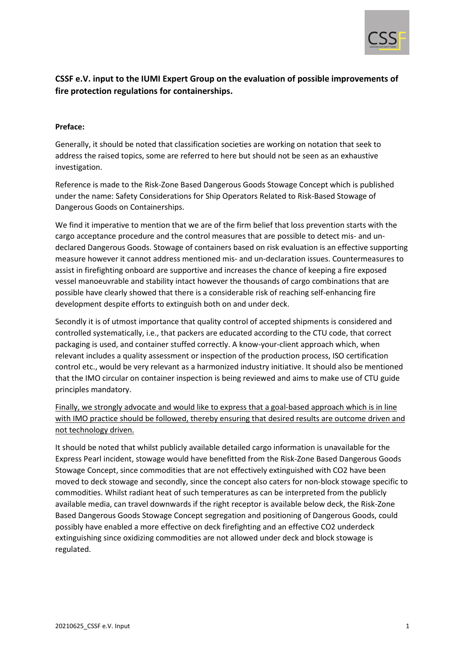

# **CSSF e.V. input to the IUMI Expert Group on the evaluation of possible improvements of fire protection regulations for containerships.**

# **Preface:**

Generally, it should be noted that classification societies are working on notation that seek to address the raised topics, some are referred to here but should not be seen as an exhaustive investigation.

Reference is made to the Risk-Zone Based Dangerous Goods Stowage Concept which is published under the name: Safety Considerations for Ship Operators Related to Risk-Based Stowage of Dangerous Goods on Containerships.

We find it imperative to mention that we are of the firm belief that loss prevention starts with the cargo acceptance procedure and the control measures that are possible to detect mis- and undeclared Dangerous Goods. Stowage of containers based on risk evaluation is an effective supporting measure however it cannot address mentioned mis- and un-declaration issues. Countermeasures to assist in firefighting onboard are supportive and increases the chance of keeping a fire exposed vessel manoeuvrable and stability intact however the thousands of cargo combinations that are possible have clearly showed that there is a considerable risk of reaching self-enhancing fire development despite efforts to extinguish both on and under deck.

Secondly it is of utmost importance that quality control of accepted shipments is considered and controlled systematically, i.e., that packers are educated according to the CTU code, that correct packaging is used, and container stuffed correctly. A know-your-client approach which, when relevant includes a quality assessment or inspection of the production process, ISO certification control etc., would be very relevant as a harmonized industry initiative. It should also be mentioned that the IMO circular on container inspection is being reviewed and aims to make use of CTU guide principles mandatory.

Finally, we strongly advocate and would like to express that a goal-based approach which is in line with IMO practice should be followed, thereby ensuring that desired results are outcome driven and not technology driven.

It should be noted that whilst publicly available detailed cargo information is unavailable for the Express Pearl incident, stowage would have benefitted from the Risk-Zone Based Dangerous Goods Stowage Concept, since commodities that are not effectively extinguished with CO2 have been moved to deck stowage and secondly, since the concept also caters for non-block stowage specific to commodities. Whilst radiant heat of such temperatures as can be interpreted from the publicly available media, can travel downwards if the right receptor is available below deck, the Risk-Zone Based Dangerous Goods Stowage Concept segregation and positioning of Dangerous Goods, could possibly have enabled a more effective on deck firefighting and an effective CO2 underdeck extinguishing since oxidizing commodities are not allowed under deck and block stowage is regulated.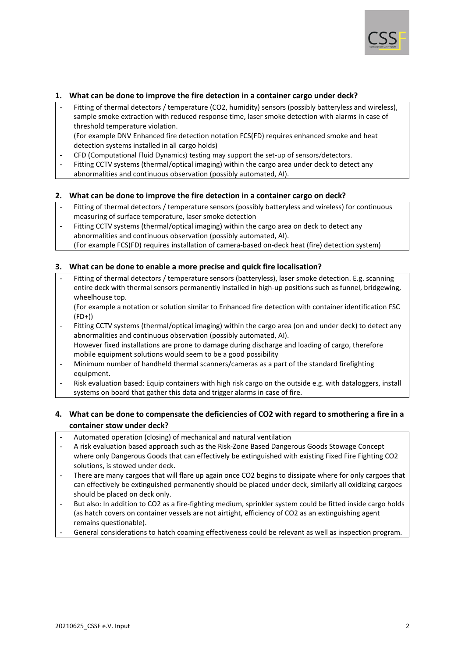

### **1. What can be done to improve the fire detection in a container cargo under deck?**

- Fitting of thermal detectors / temperature (CO2, humidity) sensors (possibly batteryless and wireless), sample smoke extraction with reduced response time, laser smoke detection with alarms in case of threshold temperature violation.
	- (For example DNV Enhanced fire detection notation FCS(FD) requires enhanced smoke and heat detection systems installed in all cargo holds)
- CFD (Computational Fluid Dynamics) testing may support the set-up of sensors/detectors.
- Fitting CCTV systems (thermal/optical imaging) within the cargo area under deck to detect any abnormalities and continuous observation (possibly automated, AI).

### **2. What can be done to improve the fire detection in a container cargo on deck?**

- Fitting of thermal detectors / temperature sensors (possibly batteryless and wireless) for continuous measuring of surface temperature, laser smoke detection
- Fitting CCTV systems (thermal/optical imaging) within the cargo area on deck to detect any abnormalities and continuous observation (possibly automated, AI). (For example FCS(FD) requires installation of camera-based on-deck heat (fire) detection system)

### **3. What can be done to enable a more precise and quick fire localisation?**

Fitting of thermal detectors / temperature sensors (batteryless), laser smoke detection. E.g. scanning entire deck with thermal sensors permanently installed in high-up positions such as funnel, bridgewing, wheelhouse top.

(For example a notation or solution similar to Enhanced fire detection with container identification FSC  $(FD+))$ 

- Fitting CCTV systems (thermal/optical imaging) within the cargo area (on and under deck) to detect any abnormalities and continuous observation (possibly automated, AI). However fixed installations are prone to damage during discharge and loading of cargo, therefore mobile equipment solutions would seem to be a good possibility
- Minimum number of handheld thermal scanners/cameras as a part of the standard firefighting equipment.
- Risk evaluation based: Equip containers with high risk cargo on the outside e.g. with dataloggers, install systems on board that gather this data and trigger alarms in case of fire.

# **4. What can be done to compensate the deficiencies of CO2 with regard to smothering a fire in a container stow under deck?**

- Automated operation (closing) of mechanical and natural ventilation
- A risk evaluation based approach such as the Risk-Zone Based Dangerous Goods Stowage Concept where only Dangerous Goods that can effectively be extinguished with existing Fixed Fire Fighting CO2 solutions, is stowed under deck.
- There are many cargoes that will flare up again once CO2 begins to dissipate where for only cargoes that can effectively be extinguished permanently should be placed under deck, similarly all oxidizing cargoes should be placed on deck only.
- But also: In addition to CO2 as a fire-fighting medium, sprinkler system could be fitted inside cargo holds (as hatch covers on container vessels are not airtight, efficiency of CO2 as an extinguishing agent remains questionable).
- General considerations to hatch coaming effectiveness could be relevant as well as inspection program.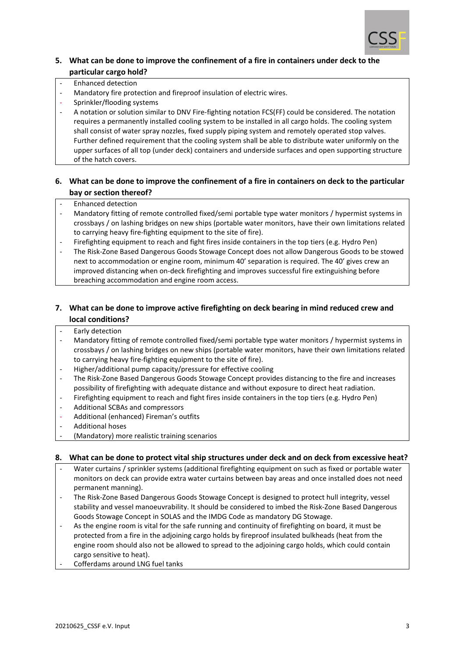

# **5. What can be done to improve the confinement of a fire in containers under deck to the particular cargo hold?**

- Enhanced detection
- Mandatory fire protection and fireproof insulation of electric wires.
- Sprinkler/flooding systems
- A notation or solution similar to DNV Fire-fighting notation FCS(FF) could be considered. The notation requires a permanently installed cooling system to be installed in all cargo holds. The cooling system shall consist of water spray nozzles, fixed supply piping system and remotely operated stop valves. Further defined requirement that the cooling system shall be able to distribute water uniformly on the upper surfaces of all top (under deck) containers and underside surfaces and open supporting structure of the hatch covers.

# **6. What can be done to improve the confinement of a fire in containers on deck to the particular bay or section thereof?**

- Enhanced detection
- Mandatory fitting of remote controlled fixed/semi portable type water monitors / hypermist systems in crossbays / on lashing bridges on new ships (portable water monitors, have their own limitations related to carrying heavy fire-fighting equipment to the site of fire).
- Firefighting equipment to reach and fight fires inside containers in the top tiers (e.g. Hydro Pen)
- The Risk-Zone Based Dangerous Goods Stowage Concept does not allow Dangerous Goods to be stowed next to accommodation or engine room, minimum 40' separation is required. The 40' gives crew an improved distancing when on-deck firefighting and improves successful fire extinguishing before breaching accommodation and engine room access.

# **7. What can be done to improve active firefighting on deck bearing in mind reduced crew and local conditions?**

- Early detection
- Mandatory fitting of remote controlled fixed/semi portable type water monitors / hypermist systems in crossbays / on lashing bridges on new ships (portable water monitors, have their own limitations related to carrying heavy fire-fighting equipment to the site of fire).
- Higher/additional pump capacity/pressure for effective cooling
- The Risk-Zone Based Dangerous Goods Stowage Concept provides distancing to the fire and increases possibility of firefighting with adequate distance and without exposure to direct heat radiation.
- Firefighting equipment to reach and fight fires inside containers in the top tiers (e.g. Hydro Pen)
- Additional SCBAs and compressors
- Additional (enhanced) Fireman's outfits
- Additional hoses
- (Mandatory) more realistic training scenarios

### **8. What can be done to protect vital ship structures under deck and on deck from excessive heat?**

- Water curtains / sprinkler systems (additional firefighting equipment on such as fixed or portable water monitors on deck can provide extra water curtains between bay areas and once installed does not need permanent manning).
- The Risk-Zone Based Dangerous Goods Stowage Concept is designed to protect hull integrity, vessel stability and vessel manoeuvrability. It should be considered to imbed the Risk-Zone Based Dangerous Goods Stowage Concept in SOLAS and the IMDG Code as mandatory DG Stowage.
- As the engine room is vital for the safe running and continuity of firefighting on board, it must be protected from a fire in the adjoining cargo holds by fireproof insulated bulkheads (heat from the engine room should also not be allowed to spread to the adjoining cargo holds, which could contain cargo sensitive to heat).
- Cofferdams around LNG fuel tanks